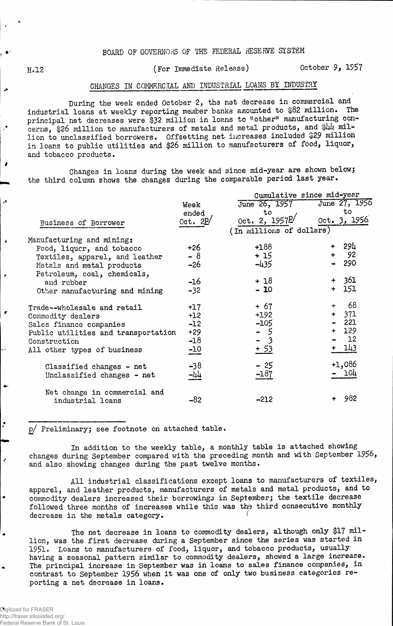## BOARD OF GOVERNORS OF THE FEDERAL RESERVE SYSTEM

 $\overline{\phantom{a}}$ 

 $\lambda$ 

 $\lambda$ 

è

### H.12 (For Immediate Release) October 9, 1957

### CHANGES IN COMMERCIAL AND INDUSTRIAL LOANS BY INDUSTRY

During the week ended October 2, the net decrease in commercial and industrial loans at weekly reporting member banks amounted to \$82 million. The principal net decreases were \$32 million in loans to "other" manufacturing concerns, \$26 million to manufacturers of metals and metal products, and \$44 million to unclassified borrowers. Offsetting net increases included. \$29 million in loans to public utilities and \$26 million to manufacturers of food, liquor, and tobacco products.

Changes in loans during the week and since mid-year are shown below; the third column shows the changes during the comparable period last year.

|     | Cumulative since mid-year |                                                                                |
|-----|---------------------------|--------------------------------------------------------------------------------|
|     | June 27, 1956             |                                                                                |
|     | to                        |                                                                                |
|     |                           |                                                                                |
|     |                           |                                                                                |
|     |                           |                                                                                |
|     | 294                       |                                                                                |
|     |                           |                                                                                |
|     | 290                       |                                                                                |
|     |                           |                                                                                |
|     |                           |                                                                                |
| $+$ | 151                       |                                                                                |
|     |                           |                                                                                |
| ÷   |                           |                                                                                |
|     |                           |                                                                                |
|     |                           |                                                                                |
|     |                           |                                                                                |
|     | 1.2                       |                                                                                |
|     | 143                       |                                                                                |
|     |                           |                                                                                |
|     |                           |                                                                                |
|     | <b>104</b>                |                                                                                |
|     |                           |                                                                                |
|     |                           |                                                                                |
|     | 982                       |                                                                                |
|     | (In millions of dollars)  | 0ct. 3, 1956.<br>92<br>$+ 361$<br>- 68<br>+ 371<br>$-221$<br>$+ 129$<br>+1,086 |

p/ Preliminary; see footnote on attached table.

In addition to the weekly table, a monthly table is attached showing changes during September compared with the preceding month and with September 1956 and also showing changes during the past twelve months.

All industrial classifications except loans to manufacturers of textiles, apparel, and leather products, manufacturers of metals and metal products, and to commodity dealers increased their borrowings in September; the textile decrease followed three months of increases while this was the third consecutive monthly decrease in the metals category.

The net decrease in loans to commodity dealers, although only \$17 million, was the first decrease during a September since the series was started in 1951• Loans to manufacturers of food, liquor, and tobacco products, usually having a seasonal pattern similar to commodity dealers, showed a large increase. The principal increase in September was in loans to sales finance companies, in contrast to September 1956 when it was one of only two business categories reporting a net decrease in loans.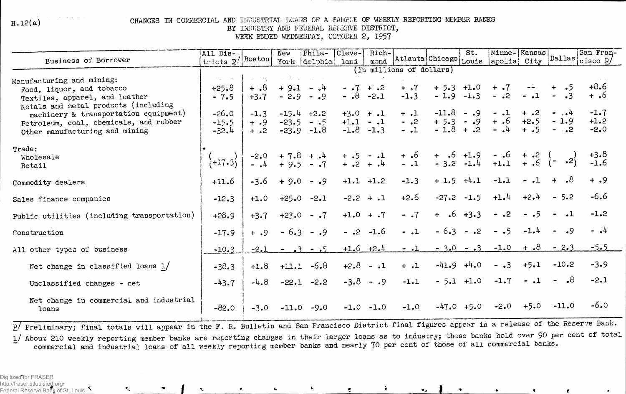$H.12(a)$ 

#### CHANGES IN COMMERCIAL AND IFDUSTRIAL LOANS OF A SAMPLE OF WEEKLY REPORTING MEMBER BANKS BY INDUSTRY AND FEDERAL RESERVE DISTRICT, WEEK ENDED WEDNESDAY, OCTOBER 2, 1957

| <b>Business of Borrower</b>                                                                                     | All Dis-<br>tricts p/ Boston                                                                 |                          | New     | Phila-<br>York delphia                                                                                      | Cleve-<br>land              | Rich-       |                    | St.<br>mond Atlanta Chicago Louis | Minne-Kansas            |                  |                              | San Fran-<br>cisco $p/$ |
|-----------------------------------------------------------------------------------------------------------------|----------------------------------------------------------------------------------------------|--------------------------|---------|-------------------------------------------------------------------------------------------------------------|-----------------------------|-------------|--------------------|-----------------------------------|-------------------------|------------------|------------------------------|-------------------------|
|                                                                                                                 | apolis  City  Dallas <br>(In millions of dollars)                                            |                          |         |                                                                                                             |                             |             |                    |                                   |                         |                  |                              |                         |
| Manufacturing and mining:<br>Food, liquor, and tobacco                                                          | $\mathcal{F}(\mathbf{q},\mathbf{q})$ , where $\mathcal{F}(\mathbf{q},\mathbf{q})$<br>$+25.8$ | <b>Service</b><br>$8. +$ |         | $\mathcal{L}_{\text{max}}$ , where $\mathcal{L}_{\text{max}}$ and $\mathcal{L}_{\text{max}}$<br>$+9.1 - .4$ | $-17 + 2$<br>$-0.8 - 2.1$   |             | $+$ .7<br>$-1.3$   | $+5.3 +1.0$<br>$-1.9 -1.3$        | $+$ $\cdot$ 7<br>$-$ .2 | $-1$             | $\cdot$ 5<br>$\sim$          | $+8.6$<br>+.6           |
| Textiles, apparel, and leather<br>Metals and metal products (including<br>machinery & transportation equipment) | $-7.5$<br>$-26.0$                                                                            | $+3.7$<br>$-1.3$         |         | $-2.9 - 0.9$<br>$-15.4 + 2.2$                                                                               | $+3.0 + .1$                 |             | $+$ .1             | $-11.8$<br>$- .9$                 | $-1$                    | $+$ .2           | $  4$                        | $-1.7$                  |
| Petroleum, coal, chemicals, and rubber<br>Other manufacturing and mining                                        | $-15.5$<br>$-32.4$                                                                           | $+ .9$<br>$+$ .2         | $-23.9$ | $-23.5 - .5$<br>$-1,8$                                                                                      | $+1.1 - .1$<br>$-1.8 - 1.3$ |             | $ \cdot$ 2<br>$-1$ | $+5.3 - .9$<br>$-1.8 + .2$        | $+ .6$<br>$ \cdot$ 4    | $+2.5$<br>$+ .5$ | $-1.9$<br>$ \cdot$ $\cdot$ 2 | $+1.2$<br>$-2.0$        |
| Trade:<br>Wholesale<br>Retail                                                                                   | $\{+17.3\}$                                                                                  |                          |         | $-2.0 + 7.8 + .4 + .5 - .1$<br>-.4 + 9.5 - .7 + .2 + .4                                                     |                             |             | $-1$ $-1$          | $+$ .6 +1.9<br>- 3.2 -1.4         | $-.6$<br>+1.1           | $+$ .2           | $+ .6 (- 0.2)$               | $+3.8$<br>$-1.6$        |
| Commodity dealers                                                                                               | $+11.6$                                                                                      | $-3.6$                   |         | $+9.0 - .9$                                                                                                 | $+1.1 +1.2$                 |             | $-1.3$             | $+ 1.5 +4.1$                      | $-1.1$                  | $-.1$            | $\cdot$ <sup>8</sup><br>$+$  | $+ .9$                  |
| Sales finance companies                                                                                         | $-12.3$                                                                                      | $+1.0$                   |         | $+25.0 -2.1$                                                                                                |                             | $-2.2 + .1$ | $+2.6$             | $-27.2 -1.5$                      | $+1.4$                  | $+2.4$           | $-5.2$                       | $-6.6$                  |
| Public utilities (including transportation)                                                                     | $+28.9$                                                                                      | $+3.7$                   |         | $+23.0 - .7$                                                                                                | $+1.0 + .7$                 |             | $ \cdot$ 7         | $+ 0.6 + 3.3$                     | $-2$ .                  | $ \cdot$ 5       | $\cdot$ 1<br>$\sim$          | $-1.2$                  |
| Construction                                                                                                    | $-17.9$                                                                                      | $+ .9$                   | $-6.3$  | $-0.9$                                                                                                      | $-$ .2                      | $-1.6$      | $-1$               | $-6.3$<br>$-$ .2                  | $\bullet$ 5<br>$\sim$   | $-1.4$           | $\cdot$ 9<br>$\bullet$ .     | $-14$                   |
| All other types of business                                                                                     | $-10.3$                                                                                      | $-2.1$                   |         | $-3 - 5$                                                                                                    |                             | $+1.6 +2.4$ | $-1$               | $-3.0 - 3$                        | $-1.0$                  | $+ .8$           | $-2.3$                       | $-5.5$                  |
| Net change in classified loans $1/$                                                                             | $-38.3$                                                                                      | $+1.8$                   |         | $+11.1 -6.8$                                                                                                | $+2.8 - .1$                 |             | $+$ .1             | $-41.9 + 4.0$                     | $- .3$                  | $+5.1$           | $-10.2$                      | $-3.9$                  |
| Unclassified changes - net                                                                                      | $-43.7$                                                                                      | $-4.8$                   | $-22.1$ | $-2.2$                                                                                                      | $-3.8$                      | $-0.9$      | $-1.1$             | $-5.1 +1.0$                       | $-1.7$                  | $-1$             | $8 - 8$                      | $-2.1$                  |
| Net change in commercial and industrial<br>loans                                                                | $-82.0$                                                                                      | $-3.0$                   | $-11.0$ | $-9.0$                                                                                                      | $-1.0$                      | $-1.0$      | $-1.0$             | $-47.0 + 5.0$                     | $-2.0$                  | $+5.0$           | $-11.0$                      | $-6.0$                  |

p/ Preliminary; final totals will appear in the F. R. Bulletin and San Francisco District final figures appear in a release of the Reserve Bank.

1/ About 210 weekly reporting member banks are reporting changes in their larger loans as to industry; these banks hold over 90 per cent of total commercial and industrial loans of all weekly reporting member banks and nearly 70 per cent of those of all commercial banks.

Digitized for FRASER http://fraser.stlouisfed.org/ Federal Reserve Bank of St. Louis  $\mathcal{F}$ 

 $\zeta$ 

 $\mathbf{C}$ 

 $\bullet_A$ 

À.